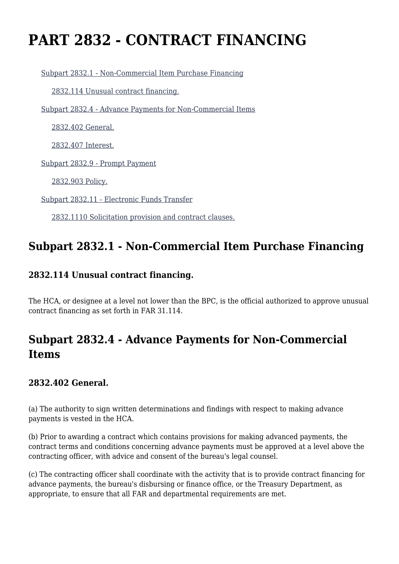# **PART 2832 - CONTRACT FINANCING**

[Subpart 2832.1 - Non-Commercial Item Purchase Financing](https://login.acquisition.gov/%5Brp:link:jar-part-2832%5D#Subpart_2832_1_T48_601164271)

[2832.114 Unusual contract financing.](https://login.acquisition.gov/%5Brp:link:jar-part-2832%5D#Section_2832_114_T48_60116427111)

[Subpart 2832.4 - Advance Payments for Non-Commercial Items](https://login.acquisition.gov/%5Brp:link:jar-part-2832%5D#Subpart_2832_4_T48_601164272)

[2832.402 General.](https://login.acquisition.gov/%5Brp:link:jar-part-2832%5D#Section_2832_402_T48_60116427211)

[2832.407 Interest.](https://login.acquisition.gov/%5Brp:link:jar-part-2832%5D#Section_2832_407_T48_60116427212)

[Subpart 2832.9 - Prompt Payment](https://login.acquisition.gov/%5Brp:link:jar-part-2832%5D#Subpart_2832_9_T48_601164273)

[2832.903 Policy.](https://login.acquisition.gov/%5Brp:link:jar-part-2832%5D#Section_2832_903_T48_60116427311)

[Subpart 2832.11 - Electronic Funds Transfer](https://login.acquisition.gov/%5Brp:link:jar-part-2832%5D#Subpart_2832_11_T48_601164274)

[2832.1110 Solicitation provision and contract clauses.](https://login.acquisition.gov/%5Brp:link:jar-part-2832%5D#Section_2832_1110_T48_60116427411)

## **Subpart 2832.1 - Non-Commercial Item Purchase Financing**

#### **2832.114 Unusual contract financing.**

The HCA, or designee at a level not lower than the BPC, is the official authorized to approve unusual contract financing as set forth in FAR 31.114.

# **Subpart 2832.4 - Advance Payments for Non-Commercial Items**

#### **2832.402 General.**

(a) The authority to sign written determinations and findings with respect to making advance payments is vested in the HCA.

(b) Prior to awarding a contract which contains provisions for making advanced payments, the contract terms and conditions concerning advance payments must be approved at a level above the contracting officer, with advice and consent of the bureau's legal counsel.

(c) The contracting officer shall coordinate with the activity that is to provide contract financing for advance payments, the bureau's disbursing or finance office, or the Treasury Department, as appropriate, to ensure that all FAR and departmental requirements are met.